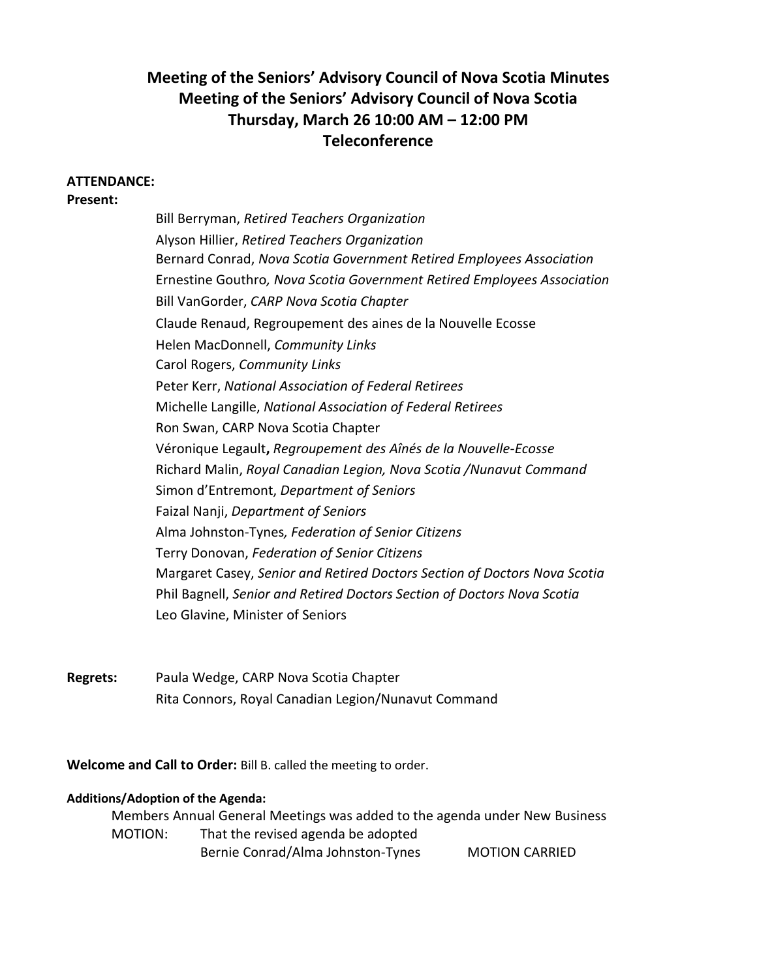# **Meeting of the Seniors' Advisory Council of Nova Scotia Minutes Meeting of the Seniors' Advisory Council of Nova Scotia Thursday, March 26 10:00 AM – 12:00 PM Teleconference**

#### **ATTENDANCE:**

**Present:**

Bill Berryman, *Retired Teachers Organization* Alyson Hillier, *Retired Teachers Organization* Bernard Conrad, *Nova Scotia Government Retired Employees Association* Ernestine Gouthro*, Nova Scotia Government Retired Employees Association* Bill VanGorder, *CARP Nova Scotia Chapter* Claude Renaud, Regroupement des aines de la Nouvelle Ecosse Helen MacDonnell, *Community Links* Carol Rogers, *Community Links* Peter Kerr, *National Association of Federal Retirees* Michelle Langille, *National Association of Federal Retirees*  Ron Swan, CARP Nova Scotia Chapter Véronique Legault**,** *Regroupement des Aînés de la Nouvelle-Ecosse* Richard Malin, *Royal Canadian Legion, Nova Scotia /Nunavut Command* Simon d'Entremont, *Department of Seniors* Faizal Nanji, *Department of Seniors* Alma Johnston-Tynes*, Federation of Senior Citizens*  Terry Donovan, *Federation of Senior Citizens* Margaret Casey, *Senior and Retired Doctors Section of Doctors Nova Scotia* Phil Bagnell, *Senior and Retired Doctors Section of Doctors Nova Scotia*  Leo Glavine, Minister of Seniors

**Regrets:** Paula Wedge, CARP Nova Scotia Chapter Rita Connors, Royal Canadian Legion/Nunavut Command

**Welcome and Call to Order:** Bill B. called the meeting to order.

#### **Additions/Adoption of the Agenda:**

Members Annual General Meetings was added to the agenda under New Business MOTION: That the revised agenda be adopted Bernie Conrad/Alma Johnston-Tynes MOTION CARRIED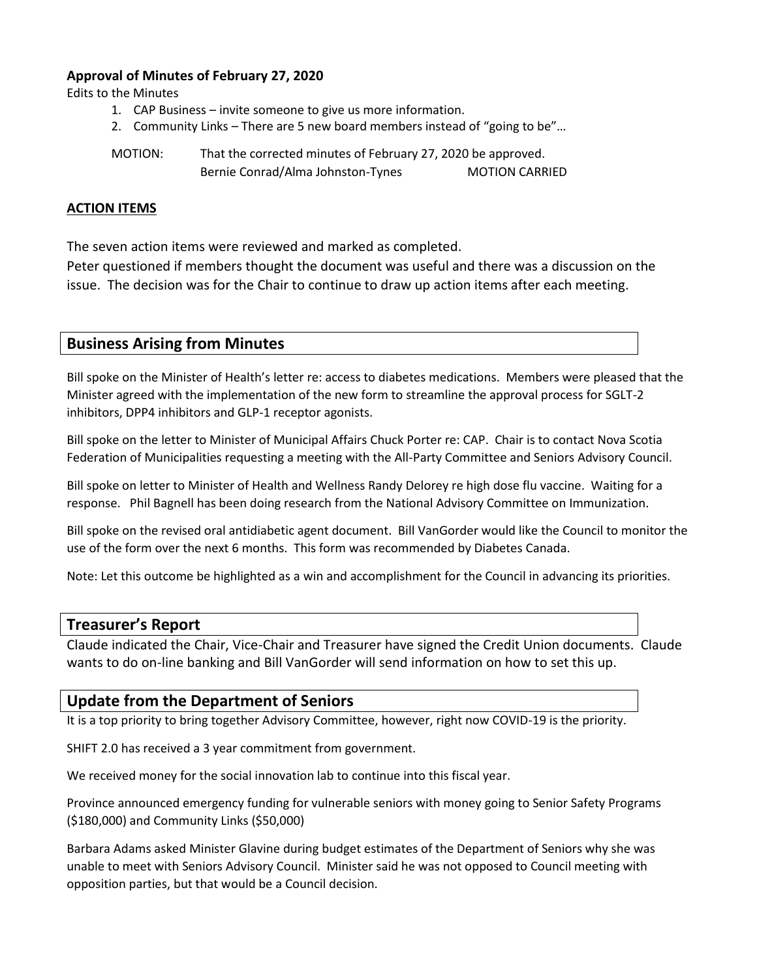# **Approval of Minutes of February 27, 2020**

Edits to the Minutes

- 1. CAP Business invite someone to give us more information.
- 2. Community Links There are 5 new board members instead of "going to be"…

MOTION: That the corrected minutes of February 27, 2020 be approved. Bernie Conrad/Alma Johnston-Tynes MOTION CARRIED

# **ACTION ITEMS**

The seven action items were reviewed and marked as completed.

Peter questioned if members thought the document was useful and there was a discussion on the issue. The decision was for the Chair to continue to draw up action items after each meeting.

# **Business Arising from Minutes**

Bill spoke on the Minister of Health's letter re: access to diabetes medications. Members were pleased that the Minister agreed with the implementation of the new form to streamline the approval process for SGLT-2 inhibitors, DPP4 inhibitors and GLP-1 receptor agonists.

Bill spoke on the letter to Minister of Municipal Affairs Chuck Porter re: CAP. Chair is to contact Nova Scotia Federation of Municipalities requesting a meeting with the All-Party Committee and Seniors Advisory Council.

Bill spoke on letter to Minister of Health and Wellness Randy Delorey re high dose flu vaccine. Waiting for a response. Phil Bagnell has been doing research from the National Advisory Committee on Immunization.

Bill spoke on the revised oral antidiabetic agent document. Bill VanGorder would like the Council to monitor the use of the form over the next 6 months. This form was recommended by Diabetes Canada.

Note: Let this outcome be highlighted as a win and accomplishment for the Council in advancing its priorities.

# **Treasurer's Report**

Claude indicated the Chair, Vice-Chair and Treasurer have signed the Credit Union documents. Claude wants to do on-line banking and Bill VanGorder will send information on how to set this up.

# **Update from the Department of Seniors**

It is a top priority to bring together Advisory Committee, however, right now COVID-19 is the priority.

SHIFT 2.0 has received a 3 year commitment from government.

We received money for the social innovation lab to continue into this fiscal year.

Province announced emergency funding for vulnerable seniors with money going to Senior Safety Programs (\$180,000) and Community Links (\$50,000)

Barbara Adams asked Minister Glavine during budget estimates of the Department of Seniors why she was unable to meet with Seniors Advisory Council. Minister said he was not opposed to Council meeting with opposition parties, but that would be a Council decision.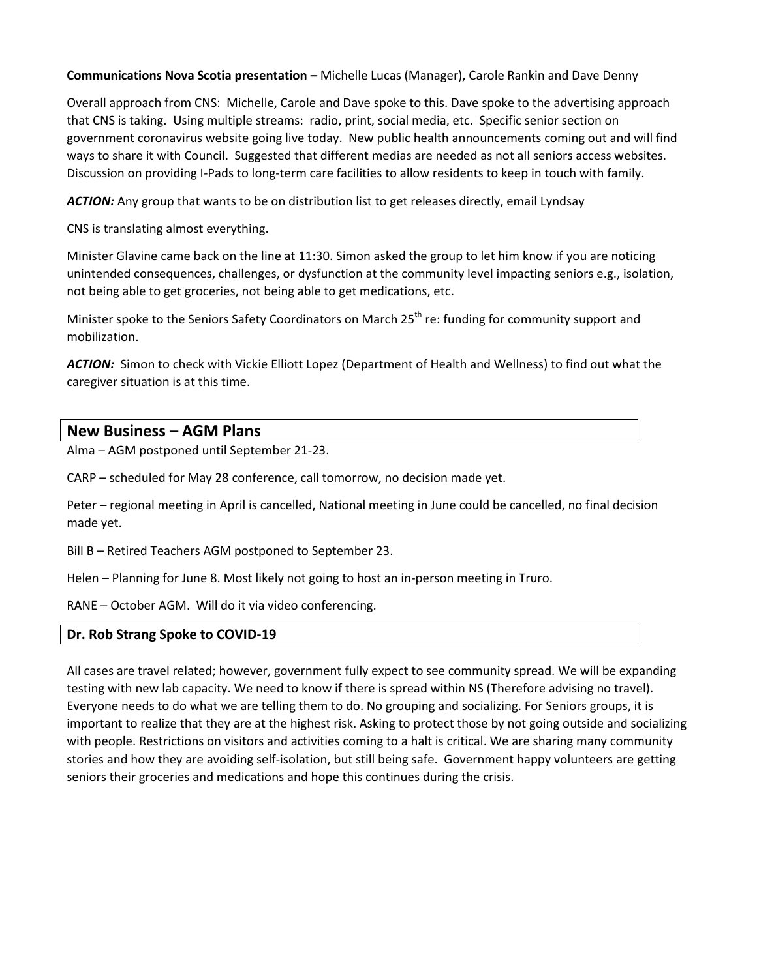**Communications Nova Scotia presentation –** Michelle Lucas (Manager), Carole Rankin and Dave Denny

Overall approach from CNS: Michelle, Carole and Dave spoke to this. Dave spoke to the advertising approach that CNS is taking. Using multiple streams: radio, print, social media, etc. Specific senior section on government coronavirus website going live today. New public health announcements coming out and will find ways to share it with Council. Suggested that different medias are needed as not all seniors access websites. Discussion on providing I-Pads to long-term care facilities to allow residents to keep in touch with family.

*ACTION:* Any group that wants to be on distribution list to get releases directly, email Lyndsay

CNS is translating almost everything.

Minister Glavine came back on the line at 11:30. Simon asked the group to let him know if you are noticing unintended consequences, challenges, or dysfunction at the community level impacting seniors e.g., isolation, not being able to get groceries, not being able to get medications, etc.

Minister spoke to the Seniors Safety Coordinators on March 25<sup>th</sup> re: funding for community support and mobilization.

*ACTION:* Simon to check with Vickie Elliott Lopez (Department of Health and Wellness) to find out what the caregiver situation is at this time.

# **New Business – AGM Plans**

Alma – AGM postponed until September 21-23.

CARP – scheduled for May 28 conference, call tomorrow, no decision made yet.

Peter – regional meeting in April is cancelled, National meeting in June could be cancelled, no final decision made yet.

Bill B – Retired Teachers AGM postponed to September 23.

Helen – Planning for June 8. Most likely not going to host an in-person meeting in Truro.

RANE – October AGM. Will do it via video conferencing.

### **Dr. Rob Strang Spoke to COVID-19**

All cases are travel related; however, government fully expect to see community spread. We will be expanding testing with new lab capacity. We need to know if there is spread within NS (Therefore advising no travel). Everyone needs to do what we are telling them to do. No grouping and socializing. For Seniors groups, it is important to realize that they are at the highest risk. Asking to protect those by not going outside and socializing with people. Restrictions on visitors and activities coming to a halt is critical. We are sharing many community stories and how they are avoiding self-isolation, but still being safe. Government happy volunteers are getting seniors their groceries and medications and hope this continues during the crisis.